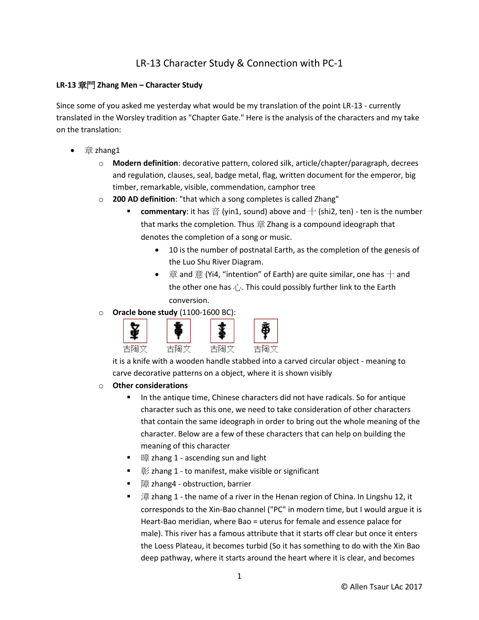# LR-13 Character Study & Connection with PC-1

## **LR-13** 章門 **Zhang Men – Character Study**

Since some of you asked me yesterday what would be my translation of the point LR-13 - currently translated in the Worsley tradition as "Chapter Gate." Here is the analysis of the characters and my take on the translation:

- 章 zhang1
	- o **Modern definition**: decorative pattern, colored silk, article/chapter/paragraph, decrees and regulation, clauses, seal, badge metal, flag, written document for the emperor, big timber, remarkable, visible, commendation, camphor tree
	- o **200 AD definition**: "that which a song completes is called Zhang"
		- **commentary**: it has 音 (yin1, sound) above and  $+$  (shi2, ten) ten is the number that marks the completion. Thus  $\hat{\equiv}$  Zhang is a compound ideograph that denotes the completion of a song or music.
			- 10 is the number of postnatal Earth, as the completion of the genesis of the Luo Shu River Diagram.
			- $\dot{\equiv}$  and  $\dot{\equiv}$  (Yi4, "intention" of Earth) are quite similar, one has  $+$  and the other one has  $\hat{U}$ . This could possibly further link to the Earth conversion.
	- o **Oracle bone study** (1100-1600 BC):



it is a knife with a wooden handle stabbed into a carved circular object - meaning to carve decorative patterns on a object, where it is shown visibly

- o **Other considerations**
	- In the antique time, Chinese characters did not have radicals. So for antique character such as this one, we need to take consideration of other characters that contain the same ideograph in order to bring out the whole meaning of the character. Below are a few of these characters that can help on building the meaning of this character
	- 暗 zhang 1 ascending sun and light
	- $\n  $\n *ê*/*z*$  hang 1 to manifest, make visible or significant$
	- 障 zhang4 obstruction, barrier
	- 漳 zhang 1 the name of a river in the Henan region of China. In Lingshu 12, it corresponds to the Xin-Bao channel ("PC" in modern time, but I would argue it is Heart-Bao meridian, where Bao = uterus for female and essence palace for male). This river has a famous attribute that it starts off clear but once it enters the Loess Plateau, it becomes turbid (So it has something to do with the Xin Bao deep pathway, where it starts around the heart where it is clear, and becomes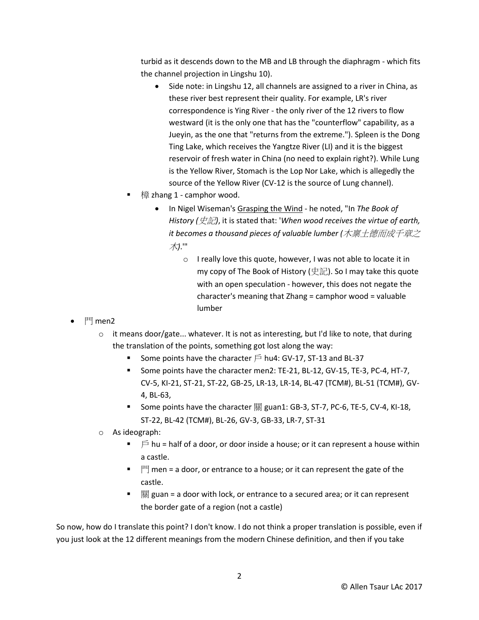turbid as it descends down to the MB and LB through the diaphragm - which fits the channel projection in Lingshu 10).

- Side note: in Lingshu 12, all channels are assigned to a river in China, as these river best represent their quality. For example, LR's river correspondence is Ying River - the only river of the 12 rivers to flow westward (it is the only one that has the "counterflow" capability, as a Jueyin, as the one that "returns from the extreme."). Spleen is the Dong Ting Lake, which receives the Yangtze River (LI) and it is the biggest reservoir of fresh water in China (no need to explain right?). While Lung is the Yellow River, Stomach is the Lop Nor Lake, which is allegedly the source of the Yellow River (CV-12 is the source of Lung channel).
- 樟 zhang 1 camphor wood.
	- In Nigel Wiseman's Grasping the Wind he noted, "In *The Book of History (*史記*)*, it is stated that: '*When wood receives the virtue of earth, it becomes a thousand pieces of valuable lumber (*木稟土德而成千章之 木*)*.'"
		- o I really love this quote, however, I was not able to locate it in my copy of The Book of History (史記). So I may take this quote with an open speculation - however, this does not negate the character's meaning that Zhang = camphor wood = valuable lumber

- $\bullet$   $\mathbb{P}$  men2
	- $\circ$  it means door/gate... whatever. It is not as interesting, but I'd like to note, that during the translation of the points, something got lost along the way:
		- Some points have the character  $\widehat{P}$  hu4: GV-17, ST-13 and BL-37
		- Some points have the character men2: TE-21, BL-12, GV-15, TE-3, PC-4, HT-7, CV-5, KI-21, ST-21, ST-22, GB-25, LR-13, LR-14, BL-47 (TCM#), BL-51 (TCM#), GV-4, BL-63,
		- Some points have the character 關 guan1: GB-3, ST-7, PC-6, TE-5, CV-4, KI-18, ST-22, BL-42 (TCM#), BL-26, GV-3, GB-33, LR-7, ST-31
	- o As ideograph:
		- $\blacksquare$   $\blacksquare$  hu = half of a door, or door inside a house; or it can represent a house within a castle.
		- $\blacksquare$   $\blacksquare$   $\blacksquare$  men = a door, or entrance to a house; or it can represent the gate of the castle.
		- $\frac{1}{90}$  guan = a door with lock, or entrance to a secured area; or it can represent the border gate of a region (not a castle)

So now, how do I translate this point? I don't know. I do not think a proper translation is possible, even if you just look at the 12 different meanings from the modern Chinese definition, and then if you take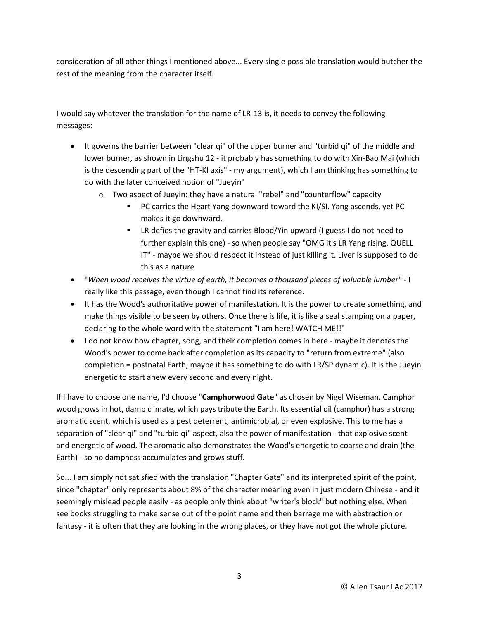consideration of all other things I mentioned above... Every single possible translation would butcher the rest of the meaning from the character itself.

I would say whatever the translation for the name of LR-13 is, it needs to convey the following messages:

- It governs the barrier between "clear qi" of the upper burner and "turbid qi" of the middle and lower burner, as shown in Lingshu 12 - it probably has something to do with Xin-Bao Mai (which is the descending part of the "HT-KI axis" - my argument), which I am thinking has something to do with the later conceived notion of "Jueyin"
	- $\circ$  Two aspect of Jueyin: they have a natural "rebel" and "counterflow" capacity
		- **PC carries the Heart Yang downward toward the KI/SI. Yang ascends, yet PC** makes it go downward.
		- LR defies the gravity and carries Blood/Yin upward (I guess I do not need to further explain this one) - so when people say "OMG it's LR Yang rising, QUELL IT" - maybe we should respect it instead of just killing it. Liver is supposed to do this as a nature
- "*When wood receives the virtue of earth, it becomes a thousand pieces of valuable lumber*" I really like this passage, even though I cannot find its reference.
- It has the Wood's authoritative power of manifestation. It is the power to create something, and make things visible to be seen by others. Once there is life, it is like a seal stamping on a paper, declaring to the whole word with the statement "I am here! WATCH ME!!"
- I do not know how chapter, song, and their completion comes in here maybe it denotes the Wood's power to come back after completion as its capacity to "return from extreme" (also completion = postnatal Earth, maybe it has something to do with LR/SP dynamic). It is the Jueyin energetic to start anew every second and every night.

If I have to choose one name, I'd choose "**Camphorwood Gate**" as chosen by Nigel Wiseman. Camphor wood grows in hot, damp climate, which pays tribute the Earth. Its essential oil (camphor) has a strong aromatic scent, which is used as a pest deterrent, antimicrobial, or even explosive. This to me has a separation of "clear qi" and "turbid qi" aspect, also the power of manifestation - that explosive scent and energetic of wood. The aromatic also demonstrates the Wood's energetic to coarse and drain (the Earth) - so no dampness accumulates and grows stuff.

So... I am simply not satisfied with the translation "Chapter Gate" and its interpreted spirit of the point, since "chapter" only represents about 8% of the character meaning even in just modern Chinese - and it seemingly mislead people easily - as people only think about "writer's block" but nothing else. When I see books struggling to make sense out of the point name and then barrage me with abstraction or fantasy - it is often that they are looking in the wrong places, or they have not got the whole picture.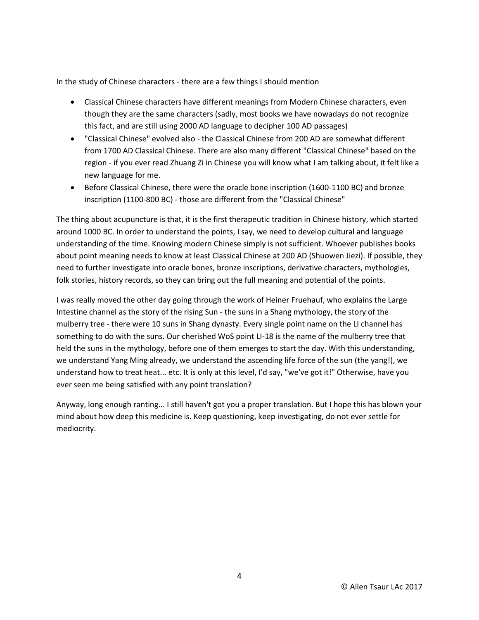In the study of Chinese characters - there are a few things I should mention

- Classical Chinese characters have different meanings from Modern Chinese characters, even though they are the same characters (sadly, most books we have nowadays do not recognize this fact, and are still using 2000 AD language to decipher 100 AD passages)
- "Classical Chinese" evolved also the Classical Chinese from 200 AD are somewhat different from 1700 AD Classical Chinese. There are also many different "Classical Chinese" based on the region - if you ever read Zhuang Zi in Chinese you will know what I am talking about, it felt like a new language for me.
- Before Classical Chinese, there were the oracle bone inscription (1600-1100 BC) and bronze inscription (1100-800 BC) - those are different from the "Classical Chinese"

The thing about acupuncture is that, it is the first therapeutic tradition in Chinese history, which started around 1000 BC. In order to understand the points, I say, we need to develop cultural and language understanding of the time. Knowing modern Chinese simply is not sufficient. Whoever publishes books about point meaning needs to know at least Classical Chinese at 200 AD (Shuowen Jiezi). If possible, they need to further investigate into oracle bones, bronze inscriptions, derivative characters, mythologies, folk stories, history records, so they can bring out the full meaning and potential of the points.

I was really moved the other day going through the work of Heiner Fruehauf, who explains the Large Intestine channel as the story of the rising Sun - the suns in a Shang mythology, the story of the mulberry tree - there were 10 suns in Shang dynasty. Every single point name on the LI channel has something to do with the suns. Our cherished WoS point LI-18 is the name of the mulberry tree that held the suns in the mythology, before one of them emerges to start the day. With this understanding, we understand Yang Ming already, we understand the ascending life force of the sun (the yang!), we understand how to treat heat... etc. It is only at this level, I'd say, "we've got it!" Otherwise, have you ever seen me being satisfied with any point translation?

Anyway, long enough ranting... I still haven't got you a proper translation. But I hope this has blown your mind about how deep this medicine is. Keep questioning, keep investigating, do not ever settle for mediocrity.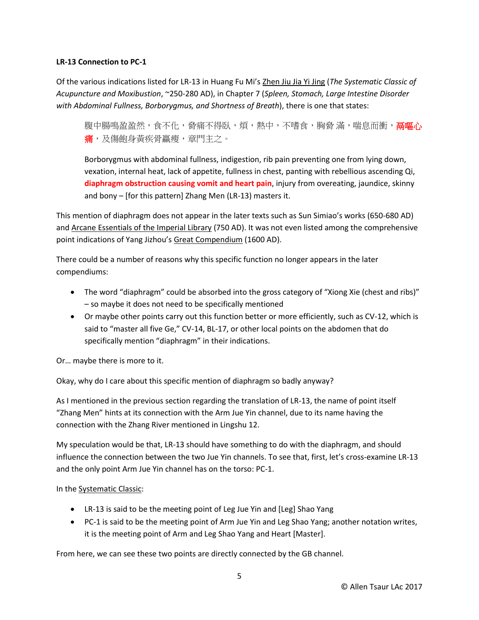## **LR-13 Connection to PC-1**

Of the various indications listed for LR-13 in Huang Fu Mi's Zhen Jiu Jia Yi Jing (*The Systematic Classic of Acupuncture and Moxibustion*, ~250-280 AD), in Chapter 7 (*Spleen, Stomach, Large Intestine Disorder with Abdominal Fullness, Borborygmus, and Shortness of Breath*), there is one that states:

腹中腸鳴盈盈然,食不化,脅痛不得臥,煩,熱中,不嗜食,胸脅 滿,喘息而衝,**鬲嘔心** 痛,及傷飽身黃疾骨羸瘦,章門主之。

Borborygmus with abdominal fullness, indigestion, rib pain preventing one from lying down, vexation, internal heat, lack of appetite, fullness in chest, panting with rebellious ascending Qi, **diaphragm obstruction causing vomit and heart pain**, injury from overeating, jaundice, skinny and bony – [for this pattern] Zhang Men (LR-13) masters it.

This mention of diaphragm does not appear in the later texts such as Sun Simiao's works (650-680 AD) and Arcane Essentials of the Imperial Library (750 AD). It was not even listed among the comprehensive point indications of Yang Jizhou's Great Compendium (1600 AD).

There could be a number of reasons why this specific function no longer appears in the later compendiums:

- The word "diaphragm" could be absorbed into the gross category of "Xiong Xie (chest and ribs)" – so maybe it does not need to be specifically mentioned
- Or maybe other points carry out this function better or more efficiently, such as CV-12, which is said to "master all five Ge," CV-14, BL-17, or other local points on the abdomen that do specifically mention "diaphragm" in their indications.

Or… maybe there is more to it.

Okay, why do I care about this specific mention of diaphragm so badly anyway?

As I mentioned in the previous section regarding the translation of LR-13, the name of point itself "Zhang Men" hints at its connection with the Arm Jue Yin channel, due to its name having the connection with the Zhang River mentioned in Lingshu 12.

My speculation would be that, LR-13 should have something to do with the diaphragm, and should influence the connection between the two Jue Yin channels. To see that, first, let's cross-examine LR-13 and the only point Arm Jue Yin channel has on the torso: PC-1.

#### In the Systematic Classic:

- LR-13 is said to be the meeting point of Leg Jue Yin and [Leg] Shao Yang
- PC-1 is said to be the meeting point of Arm Jue Yin and Leg Shao Yang; another notation writes, it is the meeting point of Arm and Leg Shao Yang and Heart [Master].

From here, we can see these two points are directly connected by the GB channel.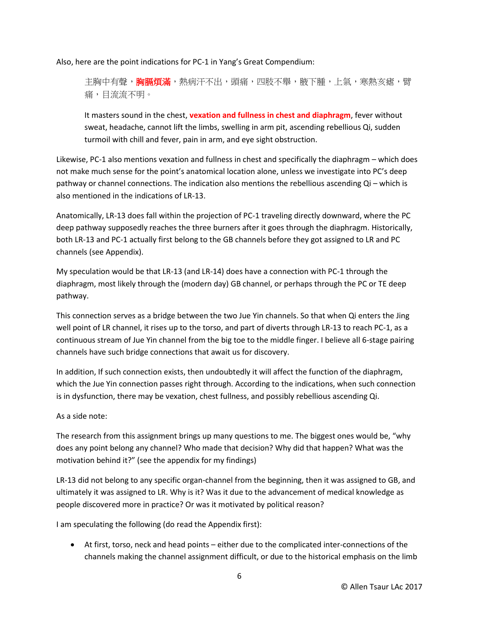Also, here are the point indications for PC-1 in Yang's Great Compendium:

主胸中有聲,**胸膈煩滿**,熱病汗不出,頭痛,四肢不舉,腋下腫,上氣,寒熱亥瘧,臂 痛,目流流不明。

It masters sound in the chest, **vexation and fullness in chest and diaphragm**, fever without sweat, headache, cannot lift the limbs, swelling in arm pit, ascending rebellious Qi, sudden turmoil with chill and fever, pain in arm, and eye sight obstruction.

Likewise, PC-1 also mentions vexation and fullness in chest and specifically the diaphragm – which does not make much sense for the point's anatomical location alone, unless we investigate into PC's deep pathway or channel connections. The indication also mentions the rebellious ascending Qi – which is also mentioned in the indications of LR-13.

Anatomically, LR-13 does fall within the projection of PC-1 traveling directly downward, where the PC deep pathway supposedly reaches the three burners after it goes through the diaphragm. Historically, both LR-13 and PC-1 actually first belong to the GB channels before they got assigned to LR and PC channels (see Appendix).

My speculation would be that LR-13 (and LR-14) does have a connection with PC-1 through the diaphragm, most likely through the (modern day) GB channel, or perhaps through the PC or TE deep pathway.

This connection serves as a bridge between the two Jue Yin channels. So that when Qi enters the Jing well point of LR channel, it rises up to the torso, and part of diverts through LR-13 to reach PC-1, as a continuous stream of Jue Yin channel from the big toe to the middle finger. I believe all 6-stage pairing channels have such bridge connections that await us for discovery.

In addition, If such connection exists, then undoubtedly it will affect the function of the diaphragm, which the Jue Yin connection passes right through. According to the indications, when such connection is in dysfunction, there may be vexation, chest fullness, and possibly rebellious ascending Qi.

## As a side note:

The research from this assignment brings up many questions to me. The biggest ones would be, "why does any point belong any channel? Who made that decision? Why did that happen? What was the motivation behind it?" (see the appendix for my findings)

LR-13 did not belong to any specific organ-channel from the beginning, then it was assigned to GB, and ultimately it was assigned to LR. Why is it? Was it due to the advancement of medical knowledge as people discovered more in practice? Or was it motivated by political reason?

I am speculating the following (do read the Appendix first):

 At first, torso, neck and head points – either due to the complicated inter-connections of the channels making the channel assignment difficult, or due to the historical emphasis on the limb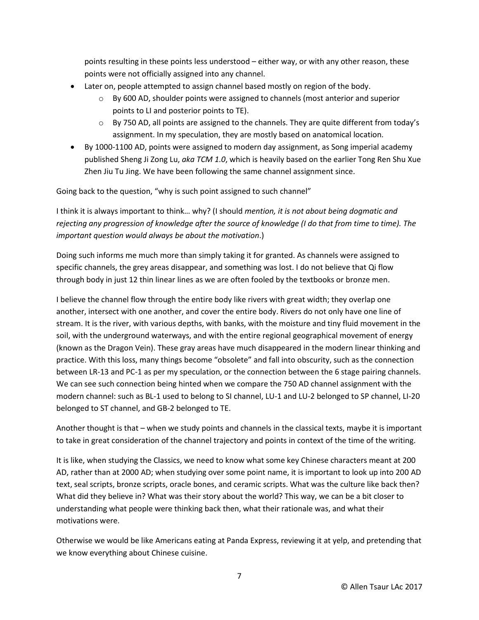points resulting in these points less understood – either way, or with any other reason, these points were not officially assigned into any channel.

- Later on, people attempted to assign channel based mostly on region of the body.
	- $\circ$  By 600 AD, shoulder points were assigned to channels (most anterior and superior points to LI and posterior points to TE).
	- $\circ$  By 750 AD, all points are assigned to the channels. They are quite different from today's assignment. In my speculation, they are mostly based on anatomical location.
- By 1000-1100 AD, points were assigned to modern day assignment, as Song imperial academy published Sheng Ji Zong Lu, *aka TCM 1.0*, which is heavily based on the earlier Tong Ren Shu Xue Zhen Jiu Tu Jing. We have been following the same channel assignment since.

Going back to the question, "why is such point assigned to such channel"

I think it is always important to think… why? (I should *mention, it is not about being dogmatic and rejecting any progression of knowledge after the source of knowledge (I do that from time to time). The important question would always be about the motivation*.)

Doing such informs me much more than simply taking it for granted. As channels were assigned to specific channels, the grey areas disappear, and something was lost. I do not believe that Qi flow through body in just 12 thin linear lines as we are often fooled by the textbooks or bronze men.

I believe the channel flow through the entire body like rivers with great width; they overlap one another, intersect with one another, and cover the entire body. Rivers do not only have one line of stream. It is the river, with various depths, with banks, with the moisture and tiny fluid movement in the soil, with the underground waterways, and with the entire regional geographical movement of energy (known as the Dragon Vein). These gray areas have much disappeared in the modern linear thinking and practice. With this loss, many things become "obsolete" and fall into obscurity, such as the connection between LR-13 and PC-1 as per my speculation, or the connection between the 6 stage pairing channels. We can see such connection being hinted when we compare the 750 AD channel assignment with the modern channel: such as BL-1 used to belong to SI channel, LU-1 and LU-2 belonged to SP channel, LI-20 belonged to ST channel, and GB-2 belonged to TE.

Another thought is that – when we study points and channels in the classical texts, maybe it is important to take in great consideration of the channel trajectory and points in context of the time of the writing.

It is like, when studying the Classics, we need to know what some key Chinese characters meant at 200 AD, rather than at 2000 AD; when studying over some point name, it is important to look up into 200 AD text, seal scripts, bronze scripts, oracle bones, and ceramic scripts. What was the culture like back then? What did they believe in? What was their story about the world? This way, we can be a bit closer to understanding what people were thinking back then, what their rationale was, and what their motivations were.

Otherwise we would be like Americans eating at Panda Express, reviewing it at yelp, and pretending that we know everything about Chinese cuisine.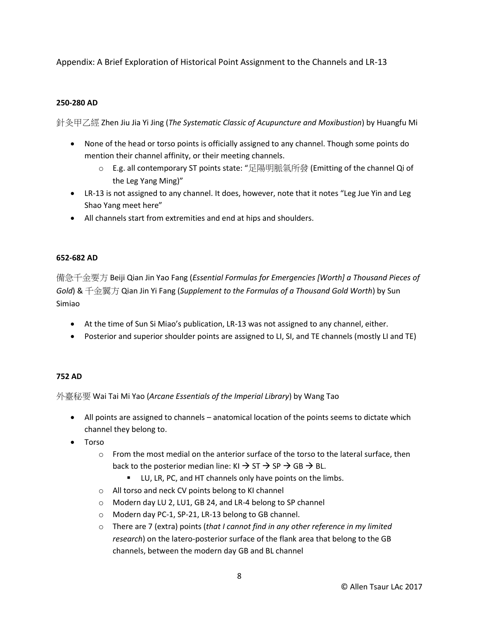## Appendix: A Brief Exploration of Historical Point Assignment to the Channels and LR-13

## **250-280 AD**

針灸甲乙經 Zhen Jiu Jia Yi Jing (*The Systematic Classic of Acupuncture and Moxibustion*) by Huangfu Mi

- None of the head or torso points is officially assigned to any channel. Though some points do mention their channel affinity, or their meeting channels.
	- o E.g. all contemporary ST points state: "足陽明脈氣所發 (Emitting of the channel Qi of the Leg Yang Ming)"
- LR-13 is not assigned to any channel. It does, however, note that it notes "Leg Jue Yin and Leg Shao Yang meet here"
- All channels start from extremities and end at hips and shoulders.

## **652-682 AD**

備急千金要方 Beiji Qian Jin Yao Fang (*Essential Formulas for Emergencies [Worth] a Thousand Pieces of Gold*) & 千金翼方 Qian Jin Yi Fang (*Supplement to the Formulas of a Thousand Gold Worth*) by Sun Simiao

- At the time of Sun Si Miao's publication, LR-13 was not assigned to any channel, either.
- Posterior and superior shoulder points are assigned to LI, SI, and TE channels (mostly LI and TE)

#### **752 AD**

外臺秘要 Wai Tai Mi Yao (*Arcane Essentials of the Imperial Library*) by Wang Tao

- All points are assigned to channels anatomical location of the points seems to dictate which channel they belong to.
- Torso
	- $\circ$  From the most medial on the anterior surface of the torso to the lateral surface, then back to the posterior median line:  $KI \rightarrow ST \rightarrow SP \rightarrow GB \rightarrow BL$ .
		- **EXECU, LR, PC, and HT channels only have points on the limbs.**
	- o All torso and neck CV points belong to KI channel
	- o Modern day LU 2, LU1, GB 24, and LR-4 belong to SP channel
	- o Modern day PC-1, SP-21, LR-13 belong to GB channel.
	- o There are 7 (extra) points (*that I cannot find in any other reference in my limited research*) on the latero-posterior surface of the flank area that belong to the GB channels, between the modern day GB and BL channel